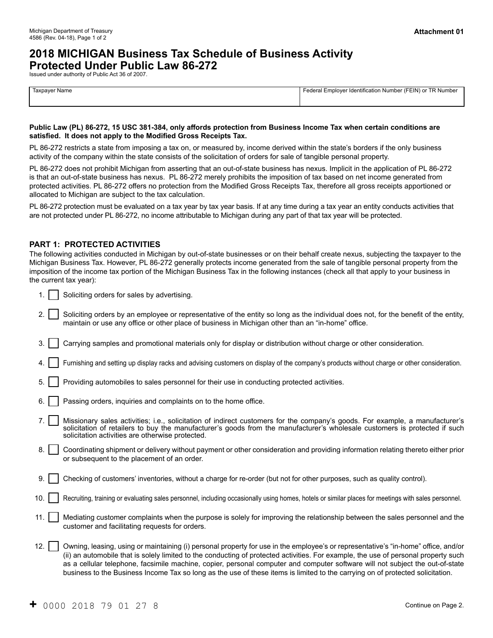## **2018 MICHIGAN Business Tax Schedule of Business Activity Protected Under Public Law 86-272**

Issued under authority of Public Act 36 of 2007.

| Taxpayer Name<br>$\sim$ $\sim$ $\sim$ $\sim$ $\sim$ | Federal Emplover Identification Number (FEIN) or TR Number |
|-----------------------------------------------------|------------------------------------------------------------|
|                                                     |                                                            |
|                                                     |                                                            |

#### **Public Law (PL) 86-272, 15 USC 381-384, only affords protection from Business Income Tax when certain conditions are satisfied. It does not apply to the Modified Gross Receipts Tax.**

PL 86-272 restricts a state from imposing a tax on, or measured by, income derived within the state's borders if the only business activity of the company within the state consists of the solicitation of orders for sale of tangible personal property.

PL 86-272 does not prohibit Michigan from asserting that an out-of-state business has nexus. Implicit in the application of PL 86-272 is that an out-of-state business has nexus. PL 86-272 merely prohibits the imposition of tax based on net income generated from protected activities. PL 86-272 offers no protection from the Modified Gross Receipts Tax, therefore all gross receipts apportioned or allocated to Michigan are subject to the tax calculation.

PL 86-272 protection must be evaluated on a tax year by tax year basis. If at any time during a tax year an entity conducts activities that are not protected under PL 86-272, no income attributable to Michigan during any part of that tax year will be protected.

#### **PART 1: PROTECTED ACTIVITIES**

The following activities conducted in Michigan by out-of-state businesses or on their behalf create nexus, subjecting the taxpayer to the Michigan Business Tax. However, PL 86-272 generally protects income generated from the sale of tangible personal property from the imposition of the income tax portion of the Michigan Business Tax in the following instances (check all that apply to your business in the current tax year):

- 1.  $\vert$  Soliciting orders for sales by advertising.
- 2. Soliciting orders by an employee or representative of the entity so long as the individual does not, for the benefit of the entity, maintain or use any office or other place of business in Michigan other than an "in-home" office.
- 3. Carrying samples and promotional materials only for display or distribution without charge or other consideration.
- 4. Furnishing and setting up display racks and advising customers on display of the company's products without charge or other consideration.
- 5. Providing automobiles to sales personnel for their use in conducting protected activities.
- 6. **Passing orders, inquiries and complaints on to the home office.**
- 7. Missionary sales activities; i.e., solicitation of indirect customers for the company's goods. For example, a manufacturer's solicitation of retailers to buy the manufacturer's goods from the manufacturer's wholesale customers is protected if such solicitation activities are otherwise protected.
- 8. Coordinating shipment or delivery without payment or other consideration and providing information relating thereto either prior or subsequent to the placement of an order.
- 9. Checking of customers' inventories, without a charge for re-order (but not for other purposes, such as quality control).
- 10. Recruiting, training or evaluating sales personnel, including occasionally using homes, hotels or similar places for meetings with sales personnel.
- 11. | | Mediating customer complaints when the purpose is solely for improving the relationship between the sales personnel and the customer and facilitating requests for orders.
- 12. | | Owning, leasing, using or maintaining (i) personal property for use in the employee's or representative's "in-home" office, and/or (ii) an automobile that is solely limited to the conducting of protected activities. For example, the use of personal property such as a cellular telephone, facsimile machine, copier, personal computer and computer software will not subject the out-of-state business to the Business Income Tax so long as the use of these items is limited to the carrying on of protected solicitation.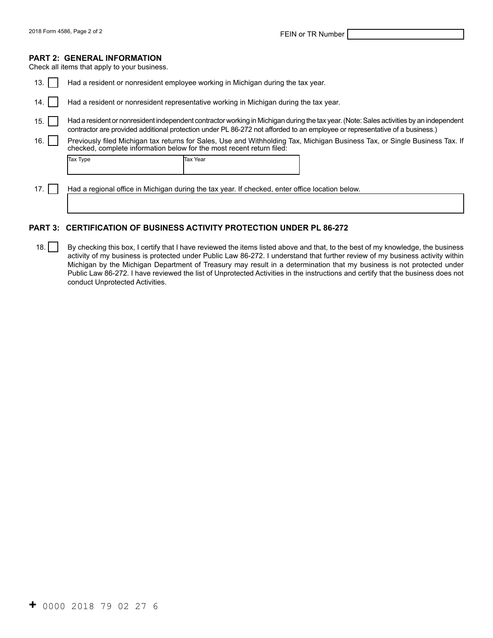#### **PART 2: GENERAL INFORMATION**

Check all items that apply to your business.

| 13.  | Had a resident or nonresident employee working in Michigan during the tax year.                                                                                                                      |                                                                                                 |                                                                                                                                                                                                                                                                        |  |
|------|------------------------------------------------------------------------------------------------------------------------------------------------------------------------------------------------------|-------------------------------------------------------------------------------------------------|------------------------------------------------------------------------------------------------------------------------------------------------------------------------------------------------------------------------------------------------------------------------|--|
| 14.  | Had a resident or nonresident representative working in Michigan during the tax year.                                                                                                                |                                                                                                 |                                                                                                                                                                                                                                                                        |  |
| 15.  |                                                                                                                                                                                                      |                                                                                                 | Had a resident or nonresident independent contractor working in Michigan during the tax year. (Note: Sales activities by an independent<br>contractor are provided additional protection under PL 86-272 not afforded to an employee or representative of a business.) |  |
| 16.  | Previously filed Michigan tax returns for Sales, Use and Withholding Tax, Michigan Business Tax, or Single Business Tax. If<br>checked, complete information below for the most recent return filed: |                                                                                                 |                                                                                                                                                                                                                                                                        |  |
|      | Tax Type                                                                                                                                                                                             | Tax Year                                                                                        |                                                                                                                                                                                                                                                                        |  |
| 17.1 |                                                                                                                                                                                                      | Had a regional office in Michigan during the tax year. If checked, enter office location below. |                                                                                                                                                                                                                                                                        |  |

### **PART 3: CERTIFICATION OF BUSINESS ACTIVITY PROTECTION UNDER PL 86-272**

18. By checking this box, I certify that I have reviewed the items listed above and that, to the best of my knowledge, the business activity of my business is protected under Public Law 86-272. I understand that further review of my business activity within Michigan by the Michigan Department of Treasury may result in a determination that my business is not protected under Public Law 86-272. I have reviewed the list of Unprotected Activities in the instructions and certify that the business does not conduct Unprotected Activities.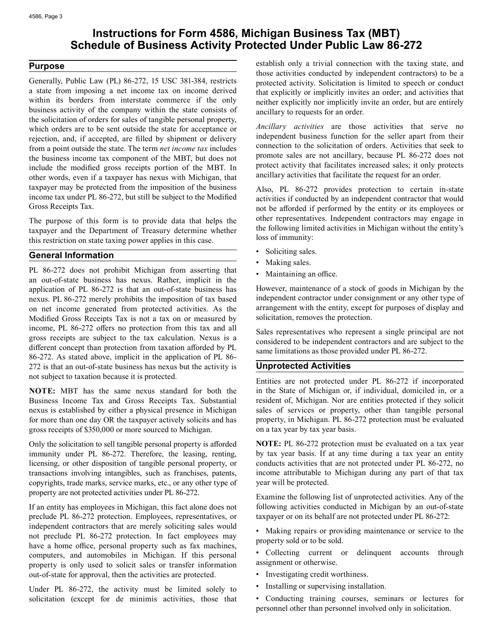# **Instructions for Form 4586, Michigan Business Tax (MBT) Schedule of Business Activity Protected Under Public Law 86-272**

#### **Purpose**

Generally, Public Law (PL) 86-272, 15 USC 381-384, restricts a state from imposing a net income tax on income derived within its borders from interstate commerce if the only business activity of the company within the state consists of the solicitation of orders for sales of tangible personal property, which orders are to be sent outside the state for acceptance or rejection, and, if accepted, are filled by shipment or delivery from a point outside the state. The term *net income tax* includes the business income tax component of the MBT, but does not include the modified gross receipts portion of the MBT. In other words, even if a taxpayer has nexus with Michigan, that taxpayer may be protected from the imposition of the business income tax under PL 86-272, but still be subject to the Modified Gross Receipts Tax.

The purpose of this form is to provide data that helps the taxpayer and the Department of Treasury determine whether this restriction on state taxing power applies in this case.

### **General Information**

 nexus. PL 86-272 merely prohibits the imposition of tax based PL 86-272 does not prohibit Michigan from asserting that an out-of-state business has nexus. Rather, implicit in the application of PL 86-272 is that an out-of-state business has on net income generated from protected activities. As the Modified Gross Receipts Tax is not a tax on or measured by income, PL 86-272 offers no protection from this tax and all gross receipts are subject to the tax calculation. Nexus is a different concept than protection from taxation afforded by PL 86-272. As stated above, implicit in the application of PL 86- 272 is that an out-of-state business has nexus but the activity is not subject to taxation because it is protected.

**NOTE:** MBT has the same nexus standard for both the Business Income Tax and Gross Receipts Tax. Substantial nexus is established by either a physical presence in Michigan for more than one day OR the taxpayer actively solicits and has gross receipts of \$350,000 or more sourced to Michigan.

Only the solicitation to sell tangible personal property is afforded immunity under PL 86-272. Therefore, the leasing, renting, licensing, or other disposition of tangible personal property, or transactions involving intangibles, such as franchises, patents, copyrights, trade marks, service marks, etc., or any other type of property are not protected activities under PL 86-272.

If an entity has employees in Michigan, this fact alone does not preclude PL 86-272 protection. Employees, representatives, or independent contractors that are merely soliciting sales would not preclude PL 86-272 protection. In fact employees may have a home office, personal property such as fax machines, computers, and automobiles in Michigan. If this personal property is only used to solicit sales or transfer information out-of-state for approval, then the activities are protected.

Under PL 86-272, the activity must be limited solely to solicitation (except for de minimis activities, those that establish only a trivial connection with the taxing state, and those activities conducted by independent contractors) to be a protected activity. Solicitation is limited to speech or conduct that explicitly or implicitly invites an order; and activities that neither explicitly nor implicitly invite an order, but are entirely ancillary to requests for an order.

*Ancillary activities* are those activities that serve no independent business function for the seller apart from their connection to the solicitation of orders. Activities that seek to promote sales are not ancillary, because PL 86-272 does not protect activity that facilitates increased sales; it only protects ancillary activities that facilitate the request for an order.

Also, PL 86-272 provides protection to certain in-state activities if conducted by an independent contractor that would not be afforded if performed by the entity or its employees or other representatives. Independent contractors may engage in the following limited activities in Michigan without the entity's loss of immunity:

- Soliciting sales.
- Making sales.
- Maintaining an office.

However, maintenance of a stock of goods in Michigan by the independent contractor under consignment or any other type of arrangement with the entity, except for purposes of display and solicitation, removes the protection.

Sales representatives who represent a single principal are not considered to be independent contractors and are subject to the same limitations as those provided under PL 86-272.

#### **Unprotected Activities**

Entities are not protected under PL 86-272 if incorporated in the State of Michigan or, if individual, domiciled in, or a resident of, Michigan. Nor are entities protected if they solicit sales of services or property, other than tangible personal property, in Michigan. PL 86-272 protection must be evaluated on a tax year by tax year basis.

**NOTE:** PL 86-272 protection must be evaluated on a tax year by tax year basis. If at any time during a tax year an entity conducts activities that are not protected under PL 86-272, no income attributable to Michigan during any part of that tax year will be protected.

Examine the following list of unprotected activities. Any of the following activities conducted in Michigan by an out-of-state taxpayer or on its behalf are not protected under PL 86-272:

• Making repairs or providing maintenance or service to the property sold or to be sold.

• Collecting current or delinquent accounts through assignment or otherwise.

- Investigating credit worthiness.
- Installing or supervising installation.

• Conducting training courses, seminars or lectures for personnel other than personnel involved only in solicitation.